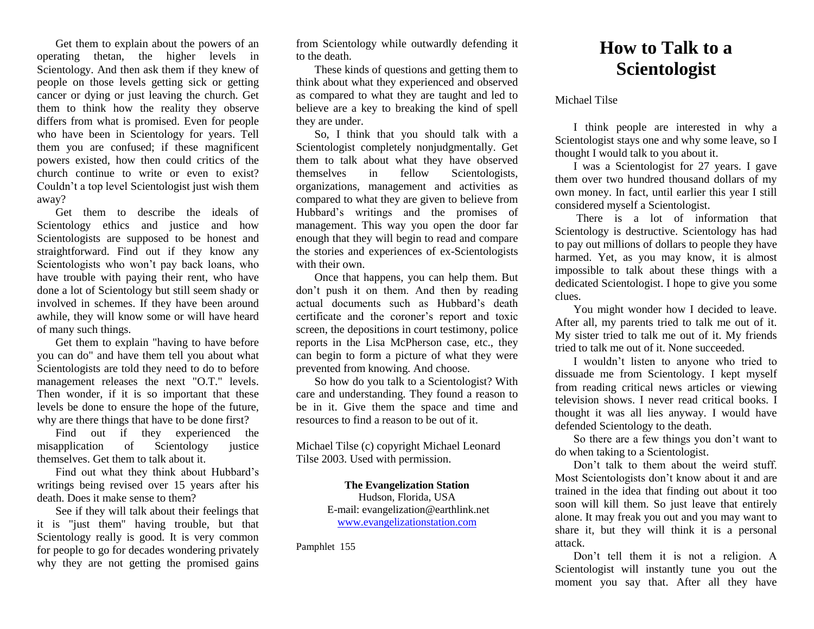Get them to explain about the powers of an operating thetan, the higher levels in Scientology. And then ask them if they knew of people on those levels getting sick or getting cancer or dying or just leaving the church. Get them to think how the reality they observe differs from what is promised. Even for people who have been in Scientology for years. Tell them you are confused; if these magnificent powers existed, how then could critics of the church continue to write or even to exist? Couldn't a top level Scientologist just wish them away?

Get them to describe the ideals of Scientology ethics and justice and how Scientologists are supposed to be honest and straightforward. Find out if they know any Scientologists who won't pay back loans, who have trouble with paying their rent, who have done a lot of Scientology but still seem shady or involved in schemes. If they have been around awhile, they will know some or will have heard of many such things.

Get them to explain "having to have before you can do" and have them tell you about what Scientologists are told they need to do to before management releases the next "O.T." levels. Then wonder, if it is so important that these levels be done to ensure the hope of the future, why are there things that have to be done first?

Find out if they experienced the misapplication of Scientology justice themselves. Get them to talk about it.

Find out what they think about Hubbard's writings being revised over 15 years after his death. Does it make sense to them?

See if they will talk about their feelings that it is "just them" having trouble, but that Scientology really is good. It is very common for people to go for decades wondering privately why they are not getting the promised gains

from Scientology while outwardly defending it to the death.

These kinds of questions and getting them to think about what they experienced and observed as compared to what they are taught and led to believe are a key to breaking the kind of spell they are under.

So, I think that you should talk with a Scientologist completely nonjudgmentally. Get them to talk about what they have observed themselves in fellow Scientologists, organizations, management and activities as compared to what they are given to believe from Hubbard's writings and the promises of management. This way you open the door far enough that they will begin to read and compare the stories and experiences of ex-Scientologists with their own.

Once that happens, you can help them. But don't push it on them. And then by reading actual documents such as Hubbard's death certificate and the coroner's report and toxic screen, the depositions in court testimony, police reports in the Lisa McPherson case, etc., they can begin to form a picture of what they were prevented from knowing. And choose.

So how do you talk to a Scientologist? With care and understanding. They found a reason to be in it. Give them the space and time and resources to find a reason to be out of it.

Michael Tilse (c) copyright Michael Leonard Tilse 2003. Used with permission.

> **The Evangelization Station** Hudson, Florida, USA E-mail: evangelization@earthlink.net [www.evangelizationstation.com](http://www.pjpiisoe.org/)

Pamphlet 155

## **How to Talk to a Scientologist**

Michael Tilse

I think people are interested in why a Scientologist stays one and why some leave, so I thought I would talk to you about it.

I was a Scientologist for 27 years. I gave them over two hundred thousand dollars of my own money. In fact, until earlier this year I still considered myself a Scientologist.

There is a lot of information that Scientology is destructive. Scientology has had to pay out millions of dollars to people they have harmed. Yet, as you may know, it is almost impossible to talk about these things with a dedicated Scientologist. I hope to give you some clues.

You might wonder how I decided to leave. After all, my parents tried to talk me out of it. My sister tried to talk me out of it. My friends tried to talk me out of it. None succeeded.

I wouldn't listen to anyone who tried to dissuade me from Scientology. I kept myself from reading critical news articles or viewing television shows. I never read critical books. I thought it was all lies anyway. I would have defended Scientology to the death.

So there are a few things you don't want to do when taking to a Scientologist.

Don't talk to them about the weird stuff. Most Scientologists don't know about it and are trained in the idea that finding out about it too soon will kill them. So just leave that entirely alone. It may freak you out and you may want to share it, but they will think it is a personal attack.

Don't tell them it is not a religion. A Scientologist will instantly tune you out the moment you say that. After all they have